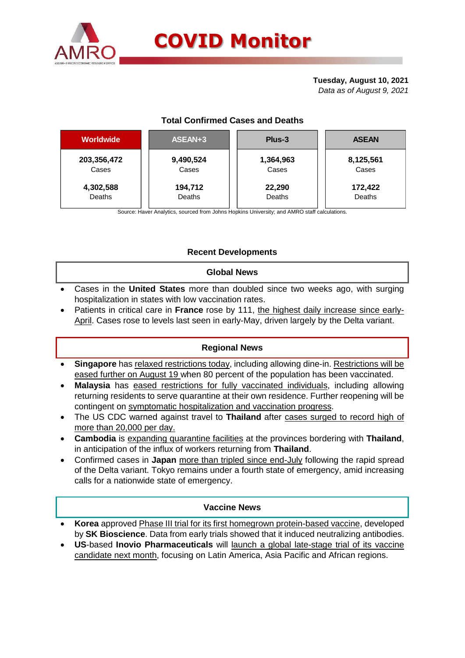

#### **Tuesday, August 10, 2021** *Data as of August 9, 2021*

# **Total Confirmed Cases and Deaths**

| <b>Worldwide</b> | ASEAN+3   | Plus-3    | <b>ASEAN</b> |  |  |
|------------------|-----------|-----------|--------------|--|--|
| 203,356,472      | 9,490,524 | 1,364,963 | 8,125,561    |  |  |
| Cases            | Cases     | Cases     | Cases        |  |  |
| 4,302,588        | 194,712   | 22,290    | 172,422      |  |  |
| Deaths           | Deaths    | Deaths    | Deaths       |  |  |

Source: Haver Analytics, sourced from Johns Hopkins University; and AMRO staff calculations.

# **Recent Developments**

## **Global News**

- Cases in the **United States** more than doubled since two weeks ago, with surging hospitalization in states with low vaccination rates.
- Patients in critical care in **France** rose by 111, the highest daily increase since early-April. Cases rose to levels last seen in early-May, driven largely by the Delta variant.

# **Regional News**

- **Singapore** has relaxed restrictions today, including allowing dine-in. Restrictions will be eased further on August 19 when 80 percent of the population has been vaccinated.
- **Malaysia** has eased restrictions for fully vaccinated individuals, including allowing returning residents to serve quarantine at their own residence. Further reopening will be contingent on symptomatic hospitalization and vaccination progress.
- The US CDC warned against travel to **Thailand** after cases surged to record high of more than 20,000 per day.
- **Cambodia** is expanding quarantine facilities at the provinces bordering with **Thailand**, in anticipation of the influx of workers returning from **Thailand**.
- Confirmed cases in **Japan** more than tripled since end-July following the rapid spread of the Delta variant. Tokyo remains under a fourth state of emergency, amid increasing calls for a nationwide state of emergency.

## **Vaccine News**

- **Korea** approved Phase III trial for its first homegrown protein-based vaccine, developed by **SK Bioscience**. Data from early trials showed that it induced neutralizing antibodies.
- **US**-based **Inovio Pharmaceuticals** will launch a global late-stage trial of its vaccine candidate next month, focusing on Latin America, Asia Pacific and African regions.